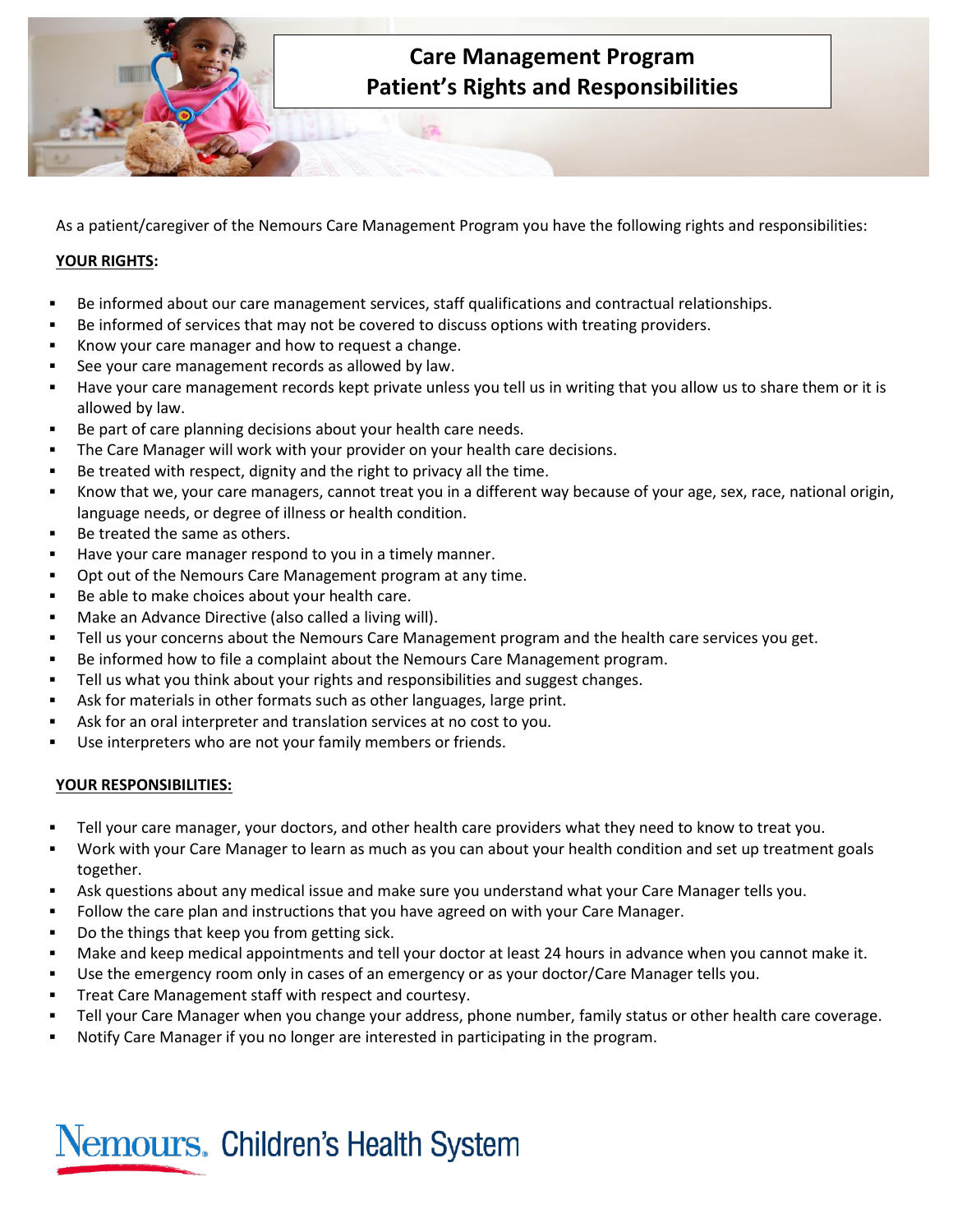

As a patient/caregiver of the Nemours Care Management Program you have the following rights and responsibilities:

## **YOUR RIGHTS:**

- Be informed about our care management services, staff qualifications and contractual relationships.
- Be informed of services that may not be covered to discuss options with treating providers.
- Know your care manager and how to request a change.
- See your care management records as allowed by law.
- Have your care management records kept private unless you tell us in writing that you allow us to share them or it is allowed by law.
- Be part of care planning decisions about your health care needs.
- The Care Manager will work with your provider on your health care decisions.
- Be treated with respect, dignity and the right to privacy all the time.
- Know that we, your care managers, cannot treat you in a different way because of your age, sex, race, national origin, language needs, or degree of illness or health condition.
- Be treated the same as others.
- Have your care manager respond to you in a timely manner.
- Opt out of the Nemours Care Management program at any time.
- Be able to make choices about your health care.
- Make an Advance Directive (also called a living will).
- Tell us your concerns about the Nemours Care Management program and the health care services you get.
- Be informed how to file a complaint about the Nemours Care Management program.
- Tell us what you think about your rights and responsibilities and suggest changes.
- Ask for materials in other formats such as other languages, large print.
- Ask for an oral interpreter and translation services at no cost to you.
- Use interpreters who are not your family members or friends.

## **YOUR RESPONSIBILITIES:**

- Tell your care manager, your doctors, and other health care providers what they need to know to treat you.
- Work with your Care Manager to learn as much as you can about your health condition and set up treatment goals together.
- Ask questions about any medical issue and make sure you understand what your Care Manager tells you.
- Follow the care plan and instructions that you have agreed on with your Care Manager.
- Do the things that keep you from getting sick.
- Make and keep medical appointments and tell your doctor at least 24 hours in advance when you cannot make it.
- Use the emergency room only in cases of an emergency or as your doctor/Care Manager tells you.
- **Treat Care Management staff with respect and courtesy.**
- Tell your Care Manager when you change your address, phone number, family status or other health care coverage.
- Notify Care Manager if you no longer are interested in participating in the program.

## Nemours. Children's Health System